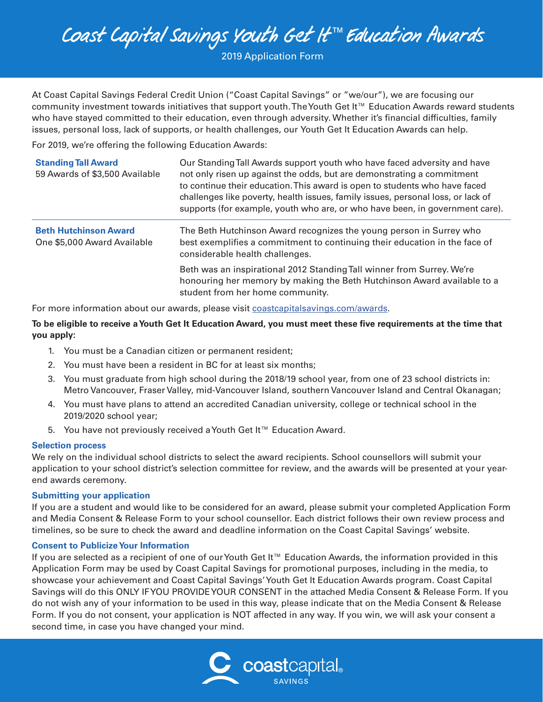2019 Application Form

At Coast Capital Savings Federal Credit Union ("Coast Capital Savings" or "we/our"), we are focusing our community investment towards initiatives that support youth. The Youth Get It™ Education Awards reward students who have stayed committed to their education, even through adversity. Whether it's financial difficulties, family issues, personal loss, lack of supports, or health challenges, our Youth Get It Education Awards can help.

For 2019, we're offering the following Education Awards:

| <b>Standing Tall Award</b><br>59 Awards of \$3,500 Available | Our Standing Tall Awards support youth who have faced adversity and have<br>not only risen up against the odds, but are demonstrating a commitment<br>to continue their education. This award is open to students who have faced<br>challenges like poverty, health issues, family issues, personal loss, or lack of<br>supports (for example, youth who are, or who have been, in government care). |
|--------------------------------------------------------------|------------------------------------------------------------------------------------------------------------------------------------------------------------------------------------------------------------------------------------------------------------------------------------------------------------------------------------------------------------------------------------------------------|
| <b>Beth Hutchinson Award</b><br>One \$5,000 Award Available  | The Beth Hutchinson Award recognizes the young person in Surrey who<br>best exemplifies a commitment to continuing their education in the face of<br>considerable health challenges.                                                                                                                                                                                                                 |
|                                                              | Beth was an inspirational 2012 Standing Tall winner from Surrey. We're<br>honouring her memory by making the Beth Hutchinson Award available to a<br>student from her home community.                                                                                                                                                                                                                |

For more information about our awards, please visit [coastcapitalsavings.com/awards](http://coastcapitalsavings.com/awards).

**To be eligible to receive a Youth Get It Education Award, you must meet these five requirements at the time that you apply:** 

- 1. You must be a Canadian citizen or permanent resident;
- 2. You must have been a resident in BC for at least six months;
- 3. You must graduate from high school during the 2018/19 school year, from one of 23 school districts in: Metro Vancouver, Fraser Valley, mid-Vancouver Island, southern Vancouver Island and Central Okanagan;
- 4. You must have plans to attend an accredited Canadian university, college or technical school in the 2019/2020 school year;
- 5. You have not previously received a Youth Get It™ Education Award.

#### **Selection process**

We rely on the individual school districts to select the award recipients. School counsellors will submit your application to your school district's selection committee for review, and the awards will be presented at your yearend awards ceremony.

#### **Submitting your application**

If you are a student and would like to be considered for an award, please submit your completed Application Form and Media Consent & Release Form to your school counsellor. Each district follows their own review process and timelines, so be sure to check the award and deadline information on the Coast Capital Savings' website.

#### **Consent to Publicize Your Information**

If you are selected as a recipient of one of our Youth Get It™ Education Awards, the information provided in this Application Form may be used by Coast Capital Savings for promotional purposes, including in the media, to showcase your achievement and Coast Capital Savings' Youth Get It Education Awards program. Coast Capital Savings will do this ONLY IF YOU PROVIDE YOUR CONSENT in the attached Media Consent & Release Form. If you do not wish any of your information to be used in this way, please indicate that on the Media Consent & Release Form. If you do not consent, your application is NOT affected in any way. If you win, we will ask your consent a second time, in case you have changed your mind.

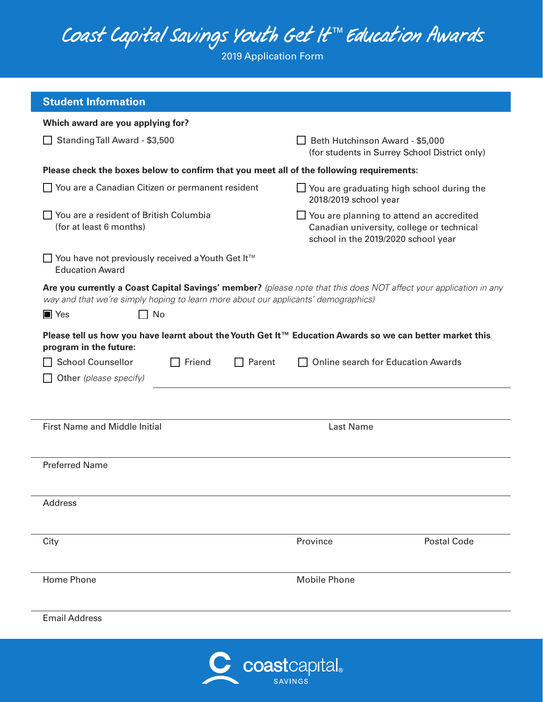2019 Application Form

| <b>Student Information</b>                                                                                            |                                                                                                                                     |  |  |  |
|-----------------------------------------------------------------------------------------------------------------------|-------------------------------------------------------------------------------------------------------------------------------------|--|--|--|
| Which award are you applying for?                                                                                     |                                                                                                                                     |  |  |  |
| Standing Tall Award - \$3,500                                                                                         | Beth Hutchinson Award - \$5,000<br>(for students in Surrey School District only)                                                    |  |  |  |
| Please check the boxes below to confirm that you meet all of the following requirements:                              |                                                                                                                                     |  |  |  |
| □ You are a Canadian Citizen or permanent resident                                                                    | $\Box$ You are graduating high school during the<br>2018/2019 school year                                                           |  |  |  |
| $\Box$ You are a resident of British Columbia<br>(for at least 6 months)                                              | $\Box$ You are planning to attend an accredited<br>Canadian university, college or technical<br>school in the 2019/2020 school year |  |  |  |
| □ You have not previously received a Youth Get It <sup>™</sup><br><b>Education Award</b>                              |                                                                                                                                     |  |  |  |
| way and that we're simply hoping to learn more about our applicants' demographics)<br>$\blacksquare$ Yes<br>$\Box$ No | Are you currently a Coast Capital Savings' member? (please note that this does NOT affect your application in any                   |  |  |  |
| program in the future:                                                                                                | Please tell us how you have learnt about the Youth Get It™ Education Awards so we can better market this                            |  |  |  |
| School Counsellor<br>Friend<br>$\sqsupset$ Parent<br>Other (please specify)                                           | <b>Online search for Education Awards</b>                                                                                           |  |  |  |
|                                                                                                                       |                                                                                                                                     |  |  |  |
| <b>First Name and Middle Initial</b><br>Last Name                                                                     |                                                                                                                                     |  |  |  |
| <b>Preferred Name</b>                                                                                                 |                                                                                                                                     |  |  |  |
| Address                                                                                                               |                                                                                                                                     |  |  |  |
| City                                                                                                                  | <b>Postal Code</b><br>Province                                                                                                      |  |  |  |
| <b>Home Phone</b>                                                                                                     | <b>Mobile Phone</b>                                                                                                                 |  |  |  |
| <b>Email Address</b>                                                                                                  |                                                                                                                                     |  |  |  |
|                                                                                                                       | C coastcapital.                                                                                                                     |  |  |  |

**SAVINGS**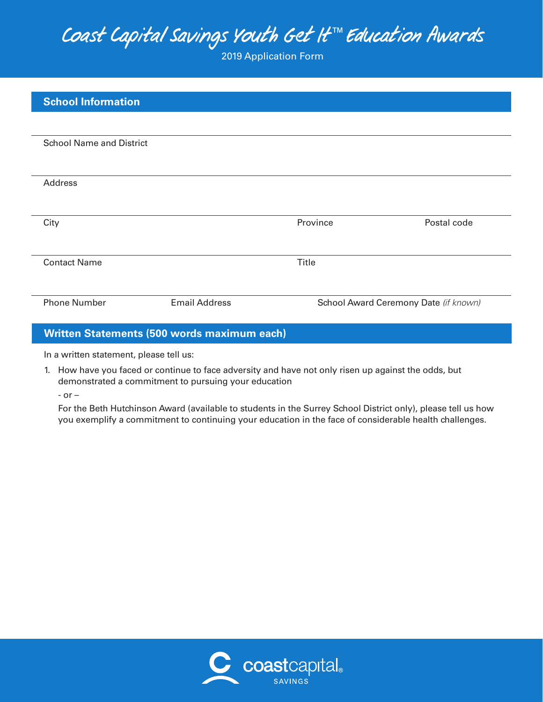2019 Application Form

| <b>School Information</b>       |                      |                                       |             |
|---------------------------------|----------------------|---------------------------------------|-------------|
|                                 |                      |                                       |             |
| <b>School Name and District</b> |                      |                                       |             |
|                                 |                      |                                       |             |
| Address                         |                      |                                       |             |
|                                 |                      |                                       |             |
| City                            |                      | Province                              | Postal code |
| <b>Contact Name</b>             |                      | Title                                 |             |
|                                 |                      |                                       |             |
| <b>Phone Number</b>             | <b>Email Address</b> | School Award Ceremony Date (if known) |             |
|                                 |                      |                                       |             |

#### **Written Statements (500 words maximum each)**

In a written statement, please tell us:

1. How have you faced or continue to face adversity and have not only risen up against the odds, but demonstrated a commitment to pursuing your education

- or –

 For the Beth Hutchinson Award (available to students in the Surrey School District only), please tell us how you exemplify a commitment to continuing your education in the face of considerable health challenges.

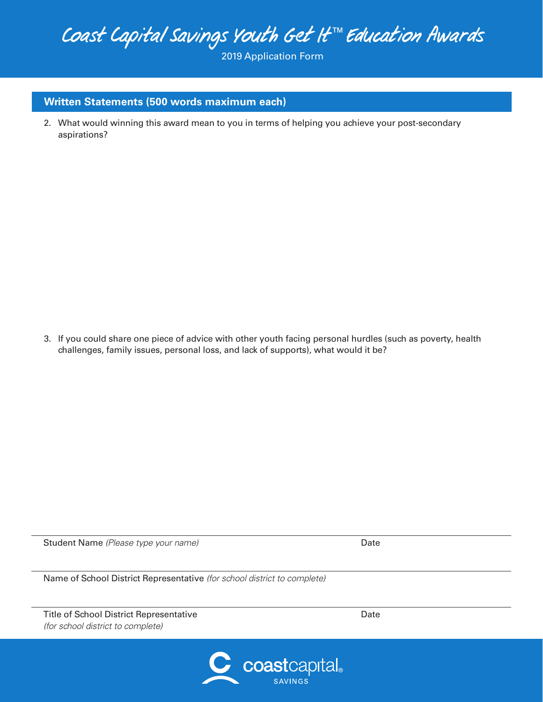2019 Application Form

### **Written Statements (500 words maximum each)**

2. What would winning this award mean to you in terms of helping you achieve your post-secondary aspirations?

3. If you could share one piece of advice with other youth facing personal hurdles (such as poverty, health challenges, family issues, personal loss, and lack of supports), what would it be?

Student Name *(Please type your name)* Date **Date** Date **Date** 

Name of School District Representative *(for school district to complete)*

Title of School District Representative *(for school district to complete)*



Date